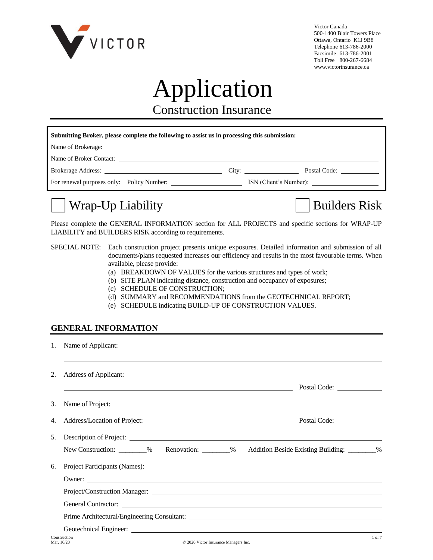

Victor Canada 500-1400 Blair Towers Place Ottawa, Ontario K1J 9B8 Telephone 613-786-2000 Facsimile 613-786-2001 Toll Free 800-267-6684 www.victorinsurance.ca

# Application

Construction Insurance

| Submitting Broker, please complete the following to assist us in processing this submission: |  |  |                    |  |  |  |
|----------------------------------------------------------------------------------------------|--|--|--------------------|--|--|--|
|                                                                                              |  |  |                    |  |  |  |
|                                                                                              |  |  |                    |  |  |  |
|                                                                                              |  |  | City: Postal Code: |  |  |  |
|                                                                                              |  |  |                    |  |  |  |

# Wrap-Up Liability Builders Risk

Please complete the GENERAL INFORMATION section for ALL PROJECTS and specific sections for WRAP-UP LIABILITY and BUILDERS RISK according to requirements.

#### SPECIAL NOTE: Each construction project presents unique exposures. Detailed information and submission of all documents/plans requested increases our efficiency and results in the most favourable terms. When available, please provide:

- (a) BREAKDOWN OF VALUES for the various structures and types of work;
- (b) SITE PLAN indicating distance, construction and occupancy of exposures;
- (c) SCHEDULE OF CONSTRUCTION;
- (d) SUMMARY and RECOMMENDATIONS from the GEOTECHNICAL REPORT;
- (e) SCHEDULE indicating BUILD-UP OF CONSTRUCTION VALUES.

#### **GENERAL INFORMATION**

| 2. |                                                                                                |  |
|----|------------------------------------------------------------------------------------------------|--|
|    | <b>Example 2018</b> Postal Code:                                                               |  |
|    | 3. Name of Project:                                                                            |  |
|    |                                                                                                |  |
| 5. | Description of Project:                                                                        |  |
|    | New Construction: ________% Renovation: ________% Addition Beside Existing Building: ________% |  |
| 6. | Project Participants (Names):                                                                  |  |
|    |                                                                                                |  |
|    |                                                                                                |  |
|    | General Contractor:                                                                            |  |
|    | Prime Architectural/Engineering Consultant:                                                    |  |
|    |                                                                                                |  |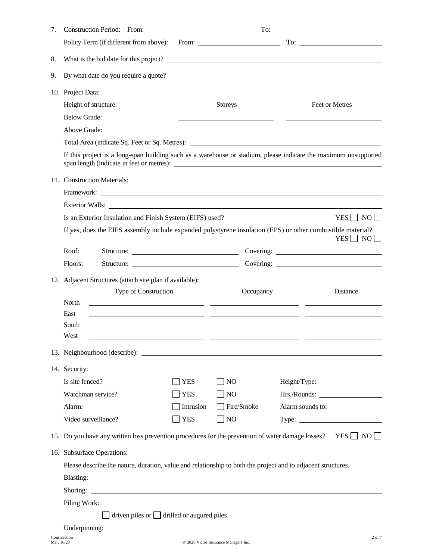| 7. |                                                                                                                                                                                                                                      |            |                                                    |                                                                                                                                                                                                        |  |  |
|----|--------------------------------------------------------------------------------------------------------------------------------------------------------------------------------------------------------------------------------------|------------|----------------------------------------------------|--------------------------------------------------------------------------------------------------------------------------------------------------------------------------------------------------------|--|--|
|    |                                                                                                                                                                                                                                      |            |                                                    |                                                                                                                                                                                                        |  |  |
| 8. | What is the bid date for this project?                                                                                                                                                                                               |            |                                                    |                                                                                                                                                                                                        |  |  |
| 9. |                                                                                                                                                                                                                                      |            |                                                    |                                                                                                                                                                                                        |  |  |
|    | 10. Project Data:                                                                                                                                                                                                                    |            |                                                    |                                                                                                                                                                                                        |  |  |
|    | Height of structure:                                                                                                                                                                                                                 |            | <b>Storeys</b>                                     | Feet or Metres                                                                                                                                                                                         |  |  |
|    | <b>Below Grade:</b>                                                                                                                                                                                                                  |            |                                                    |                                                                                                                                                                                                        |  |  |
|    | Above Grade:                                                                                                                                                                                                                         |            | <u> 1989 - Johann Barn, amerikansk politiker (</u> |                                                                                                                                                                                                        |  |  |
|    |                                                                                                                                                                                                                                      |            |                                                    |                                                                                                                                                                                                        |  |  |
|    |                                                                                                                                                                                                                                      |            |                                                    | If this project is a long-span building such as a warehouse or stadium, please indicate the maximum unsupported                                                                                        |  |  |
|    | 11. Construction Materials:                                                                                                                                                                                                          |            |                                                    |                                                                                                                                                                                                        |  |  |
|    | Framework: <u>The Community of the Community of the Community of the Community of the Community of the Community of the Community of the Community of the Community of the Community of the Community of the Community of the Co</u> |            |                                                    |                                                                                                                                                                                                        |  |  |
|    | Exterior Walls:                                                                                                                                                                                                                      |            |                                                    |                                                                                                                                                                                                        |  |  |
|    | Is an Exterior Insulation and Finish System (EIFS) used?                                                                                                                                                                             |            |                                                    | $YES \Box NO \Box$                                                                                                                                                                                     |  |  |
|    | If yes, does the EIFS assembly include expanded polystyrene insulation (EPS) or other combustible material?                                                                                                                          |            |                                                    | $YES$   NO                                                                                                                                                                                             |  |  |
|    | Roof:                                                                                                                                                                                                                                |            |                                                    |                                                                                                                                                                                                        |  |  |
|    | Structure:<br>Floors:                                                                                                                                                                                                                |            |                                                    |                                                                                                                                                                                                        |  |  |
|    | 12. Adjacent Structures (attach site plan if available):<br>Type of Construction<br>North<br>East<br>South<br>West<br><u> 1999 - Jan James Sand, amerikansk politiker (d. 1989)</u>                                                  |            | Occupancy                                          | Distance<br><u> 2000 - Andrea Andrew Maria (a chemical altres anno 1920).</u><br><u> 1989 - Andrea Santa Alemania, política especial de la contrada de la contrada de la contrada de la contrada d</u> |  |  |
|    | 13. Neighbourhood (describe):                                                                                                                                                                                                        |            |                                                    |                                                                                                                                                                                                        |  |  |
|    | 14. Security:                                                                                                                                                                                                                        |            |                                                    |                                                                                                                                                                                                        |  |  |
|    | Is site fenced?                                                                                                                                                                                                                      | <b>YES</b> | $\exists$ NO                                       |                                                                                                                                                                                                        |  |  |
|    | Watchman service?                                                                                                                                                                                                                    | <b>YES</b> | $\Box$ NO                                          |                                                                                                                                                                                                        |  |  |
|    | Alarm:                                                                                                                                                                                                                               | Intrusion  | $\Box$ Fire/Smoke                                  | Alarm sounds to:                                                                                                                                                                                       |  |  |
|    | Video surveillance?                                                                                                                                                                                                                  | <b>YES</b> | $\blacksquare$ NO                                  |                                                                                                                                                                                                        |  |  |
|    |                                                                                                                                                                                                                                      |            |                                                    | 15. Do you have any written loss prevention procedures for the prevention of water damage losses? YES $\Box$ NO $\Box$                                                                                 |  |  |
|    | 16. Subsurface Operations:                                                                                                                                                                                                           |            |                                                    |                                                                                                                                                                                                        |  |  |
|    | Please describe the nature, duration, value and relationship to both the project and to adjacent structures.                                                                                                                         |            |                                                    |                                                                                                                                                                                                        |  |  |
|    |                                                                                                                                                                                                                                      |            |                                                    |                                                                                                                                                                                                        |  |  |
|    |                                                                                                                                                                                                                                      |            |                                                    |                                                                                                                                                                                                        |  |  |
|    |                                                                                                                                                                                                                                      |            |                                                    |                                                                                                                                                                                                        |  |  |
|    | $\Box$ driven piles or $\Box$ drilled or augured piles                                                                                                                                                                               |            |                                                    |                                                                                                                                                                                                        |  |  |
|    |                                                                                                                                                                                                                                      |            |                                                    |                                                                                                                                                                                                        |  |  |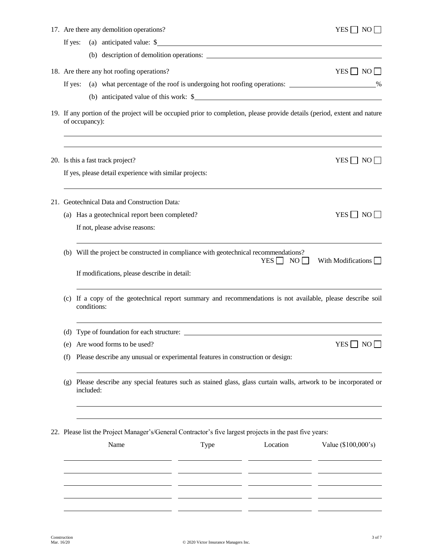|                                                                                                                                             |         | 17. Are there any demolition operations?                                                                                    |      |                                                                                                                      | $YES \Box NO \Box$   |  |  |  |
|---------------------------------------------------------------------------------------------------------------------------------------------|---------|-----------------------------------------------------------------------------------------------------------------------------|------|----------------------------------------------------------------------------------------------------------------------|----------------------|--|--|--|
|                                                                                                                                             | If yes: |                                                                                                                             |      | (a) anticipated value: \$                                                                                            |                      |  |  |  |
|                                                                                                                                             |         |                                                                                                                             |      |                                                                                                                      |                      |  |  |  |
|                                                                                                                                             |         | 18. Are there any hot roofing operations?                                                                                   |      |                                                                                                                      | $YES \Box NO \Box$   |  |  |  |
|                                                                                                                                             | If yes: |                                                                                                                             |      | (a) what percentage of the roof is undergoing hot roofing operations: ____________________%                          |                      |  |  |  |
|                                                                                                                                             |         |                                                                                                                             |      | (b) anticipated value of this work: \$                                                                               |                      |  |  |  |
| 19. If any portion of the project will be occupied prior to completion, please provide details (period, extent and nature<br>of occupancy): |         |                                                                                                                             |      |                                                                                                                      |                      |  |  |  |
|                                                                                                                                             |         | 20. Is this a fast track project?<br>If yes, please detail experience with similar projects:                                |      |                                                                                                                      | $YES \Box NO \Box$   |  |  |  |
|                                                                                                                                             |         |                                                                                                                             |      |                                                                                                                      |                      |  |  |  |
|                                                                                                                                             |         | 21. Geotechnical Data and Construction Data:                                                                                |      |                                                                                                                      |                      |  |  |  |
|                                                                                                                                             |         | (a) Has a geotechnical report been completed?                                                                               |      |                                                                                                                      | $YES \Box NO \Box$   |  |  |  |
|                                                                                                                                             |         | If not, please advise reasons:                                                                                              |      |                                                                                                                      |                      |  |  |  |
|                                                                                                                                             |         |                                                                                                                             |      | (b) Will the project be constructed in compliance with geotechnical recommendations?<br>YES<br>$NO$ $\Box$           | With Modifications   |  |  |  |
|                                                                                                                                             |         | If modifications, please describe in detail:                                                                                |      |                                                                                                                      |                      |  |  |  |
|                                                                                                                                             | (c)     | If a copy of the geotechnical report summary and recommendations is not available, please describe soil<br>conditions:      |      |                                                                                                                      |                      |  |  |  |
|                                                                                                                                             |         |                                                                                                                             |      | (d) Type of foundation for each structure:                                                                           |                      |  |  |  |
|                                                                                                                                             | (e)     | Are wood forms to be used?                                                                                                  |      |                                                                                                                      | YES $\Box$ NO $\Box$ |  |  |  |
|                                                                                                                                             | (f)     | Please describe any unusual or experimental features in construction or design:                                             |      |                                                                                                                      |                      |  |  |  |
|                                                                                                                                             | (g)     | Please describe any special features such as stained glass, glass curtain walls, artwork to be incorporated or<br>included: |      |                                                                                                                      |                      |  |  |  |
|                                                                                                                                             |         | Name                                                                                                                        | Type | 22. Please list the Project Manager's/General Contractor's five largest projects in the past five years:<br>Location | Value (\$100,000's)  |  |  |  |
|                                                                                                                                             |         |                                                                                                                             |      |                                                                                                                      |                      |  |  |  |
|                                                                                                                                             |         |                                                                                                                             |      |                                                                                                                      |                      |  |  |  |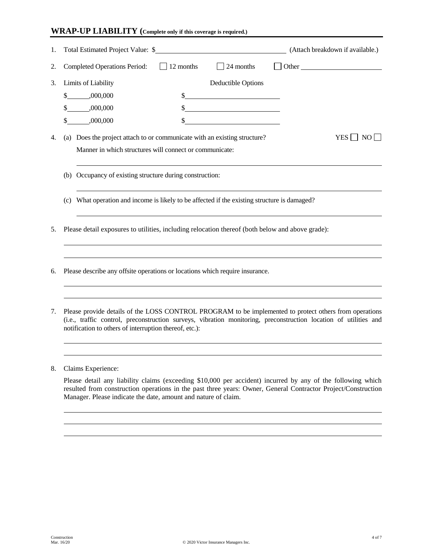#### **WRAP-UP LIABILITY (Complete only if this coverage is required.)**

| 1. | Total Estimated Project Value: \$<br>(Attach breakdown if available.)                                                                                                                                                                                                                |
|----|--------------------------------------------------------------------------------------------------------------------------------------------------------------------------------------------------------------------------------------------------------------------------------------|
| 2. | <b>Completed Operations Period:</b><br>$\Box$ 24 months<br>$\Box$ 12 months<br>$\Box$ Other                                                                                                                                                                                          |
| 3. | Limits of Liability<br>Deductible Options                                                                                                                                                                                                                                            |
|    | $\frac{1}{2}$<br>$$-.000,000$<br>$$ \_$ ,000,000                                                                                                                                                                                                                                     |
|    | <u> 1990 - Johann Barbara, martin a</u><br>$$$ .000,000                                                                                                                                                                                                                              |
| 4. | (a) Does the project attach to or communicate with an existing structure?<br>$YES \Box NO$<br>Manner in which structures will connect or communicate:                                                                                                                                |
|    | (b) Occupancy of existing structure during construction:                                                                                                                                                                                                                             |
|    | (c) What operation and income is likely to be affected if the existing structure is damaged?                                                                                                                                                                                         |
| 5. | Please detail exposures to utilities, including relocation thereof (both below and above grade):                                                                                                                                                                                     |
| 6. | Please describe any offsite operations or locations which require insurance.                                                                                                                                                                                                         |
| 7. | Please provide details of the LOSS CONTROL PROGRAM to be implemented to protect others from operations<br>(i.e., traffic control, preconstruction surveys, vibration monitoring, preconstruction location of utilities and<br>notification to others of interruption thereof, etc.): |
|    |                                                                                                                                                                                                                                                                                      |

8. Claims Experience:

Please detail any liability claims (exceeding \$10,000 per accident) incurred by any of the following which resulted from construction operations in the past three years: Owner, General Contractor Project/Construction Manager. Please indicate the date, amount and nature of claim.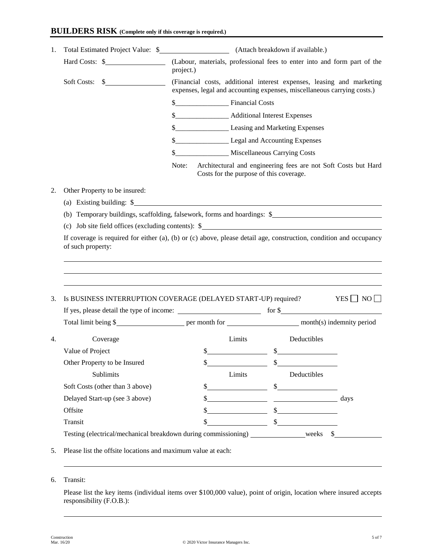#### **BUILDERS RISK (Complete only if this coverage is required.)**

|    | Hard Costs: \$                                                           | (Labour, materials, professional fees to enter into and form part of the<br>project.)                                                            |                                                                                                                                                                                                                                                                                                                                                                                                                                        |                    |  |  |
|----|--------------------------------------------------------------------------|--------------------------------------------------------------------------------------------------------------------------------------------------|----------------------------------------------------------------------------------------------------------------------------------------------------------------------------------------------------------------------------------------------------------------------------------------------------------------------------------------------------------------------------------------------------------------------------------------|--------------------|--|--|
|    | Soft Costs: \$                                                           | (Financial costs, additional interest expenses, leasing and marketing<br>expenses, legal and accounting expenses, miscellaneous carrying costs.) |                                                                                                                                                                                                                                                                                                                                                                                                                                        |                    |  |  |
|    |                                                                          |                                                                                                                                                  |                                                                                                                                                                                                                                                                                                                                                                                                                                        |                    |  |  |
|    |                                                                          | \$______________________ Additional Interest Expenses                                                                                            |                                                                                                                                                                                                                                                                                                                                                                                                                                        |                    |  |  |
|    |                                                                          | \$_______________________ Leasing and Marketing Expenses                                                                                         |                                                                                                                                                                                                                                                                                                                                                                                                                                        |                    |  |  |
|    |                                                                          | \$_________________________ Legal and Accounting Expenses                                                                                        |                                                                                                                                                                                                                                                                                                                                                                                                                                        |                    |  |  |
|    |                                                                          | \$_____________________ Miscellaneous Carrying Costs                                                                                             |                                                                                                                                                                                                                                                                                                                                                                                                                                        |                    |  |  |
|    |                                                                          | Note:<br>Costs for the purpose of this coverage.                                                                                                 | Architectural and engineering fees are not Soft Costs but Hard                                                                                                                                                                                                                                                                                                                                                                         |                    |  |  |
| 2. | Other Property to be insured:                                            |                                                                                                                                                  |                                                                                                                                                                                                                                                                                                                                                                                                                                        |                    |  |  |
|    | (a) Existing building: \$                                                |                                                                                                                                                  |                                                                                                                                                                                                                                                                                                                                                                                                                                        |                    |  |  |
|    | (b) Temporary buildings, scaffolding, falsework, forms and hoardings: \$ |                                                                                                                                                  |                                                                                                                                                                                                                                                                                                                                                                                                                                        |                    |  |  |
|    | (c) Job site field offices (excluding contents): $\$                     |                                                                                                                                                  |                                                                                                                                                                                                                                                                                                                                                                                                                                        |                    |  |  |
|    |                                                                          |                                                                                                                                                  |                                                                                                                                                                                                                                                                                                                                                                                                                                        |                    |  |  |
|    | of such property:                                                        |                                                                                                                                                  |                                                                                                                                                                                                                                                                                                                                                                                                                                        |                    |  |  |
| 3. | Is BUSINESS INTERRUPTION COVERAGE (DELAYED START-UP) required?           |                                                                                                                                                  |                                                                                                                                                                                                                                                                                                                                                                                                                                        | $YES \Box NO \Box$ |  |  |
|    |                                                                          |                                                                                                                                                  |                                                                                                                                                                                                                                                                                                                                                                                                                                        |                    |  |  |
|    |                                                                          |                                                                                                                                                  |                                                                                                                                                                                                                                                                                                                                                                                                                                        |                    |  |  |
| 4. | Coverage                                                                 | Limits                                                                                                                                           | Deductibles                                                                                                                                                                                                                                                                                                                                                                                                                            |                    |  |  |
|    | Value of Project                                                         |                                                                                                                                                  |                                                                                                                                                                                                                                                                                                                                                                                                                                        |                    |  |  |
|    | Other Property to be Insured                                             | \$                                                                                                                                               | $\frac{\text{S}}{\text{S}}$ $\frac{\text{S}}{\text{S}}$ $\frac{\text{S}}{\text{S}}$ $\frac{\text{S}}{\text{S}}$ $\frac{\text{S}}{\text{S}}$ $\frac{\text{S}}{\text{S}}$ $\frac{\text{S}}{\text{S}}$ $\frac{\text{S}}{\text{S}}$ $\frac{\text{S}}{\text{S}}$ $\frac{\text{S}}{\text{S}}$ $\frac{\text{S}}{\text{S}}$ $\frac{\text{S}}{\text{S}}$ $\frac{\text{S}}{\text{S}}$ $\frac{\text{S}}{\text{S}}$ $\frac{\text{S}}{\text{$<br>\$ |                    |  |  |
|    | Sublimits                                                                | Limits                                                                                                                                           | Deductibles                                                                                                                                                                                                                                                                                                                                                                                                                            |                    |  |  |
|    | Soft Costs (other than 3 above)                                          |                                                                                                                                                  |                                                                                                                                                                                                                                                                                                                                                                                                                                        |                    |  |  |
|    | Delayed Start-up (see 3 above)                                           | $\frac{\text{S}}{\text{S}}$                                                                                                                      | $\frac{1}{2}$                                                                                                                                                                                                                                                                                                                                                                                                                          |                    |  |  |
|    | Offsite                                                                  |                                                                                                                                                  | $\frac{\sqrt{2}}{2}$ days                                                                                                                                                                                                                                                                                                                                                                                                              |                    |  |  |
|    | Transit                                                                  | \$                                                                                                                                               | $\frac{\sqrt{25}}{25}$ $\frac{\sqrt{25}}{25}$ $\frac{\sqrt{25}}{25}$                                                                                                                                                                                                                                                                                                                                                                   |                    |  |  |

## 6. Transit:

Please list the key items (individual items over \$100,000 value), point of origin, location where insured accepts responsibility (F.O.B.):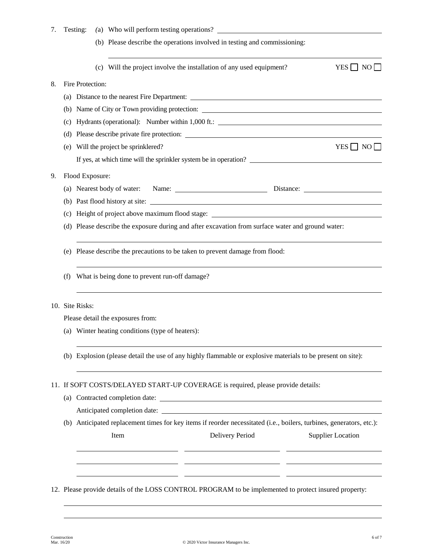| 7. |     | Testing:                                                                                                             |  |                                               | (a) Who will perform testing operations?                                                                    |  |                          |  |  |
|----|-----|----------------------------------------------------------------------------------------------------------------------|--|-----------------------------------------------|-------------------------------------------------------------------------------------------------------------|--|--------------------------|--|--|
|    |     |                                                                                                                      |  |                                               | (b) Please describe the operations involved in testing and commissioning:                                   |  |                          |  |  |
|    |     |                                                                                                                      |  |                                               | (c) Will the project involve the installation of any used equipment?                                        |  | $YES \Box NO \Box$       |  |  |
| 8. |     | Fire Protection:                                                                                                     |  |                                               |                                                                                                             |  |                          |  |  |
|    |     |                                                                                                                      |  |                                               | (a) Distance to the nearest Fire Department:                                                                |  |                          |  |  |
|    |     |                                                                                                                      |  |                                               | (b) Name of City or Town providing protection:                                                              |  |                          |  |  |
|    | (c) |                                                                                                                      |  |                                               | Hydrants (operational): Number within 1,000 ft.:                                                            |  |                          |  |  |
|    |     |                                                                                                                      |  |                                               |                                                                                                             |  |                          |  |  |
|    | (e) |                                                                                                                      |  | Will the project be sprinklered?              |                                                                                                             |  | $YES \Box NO \Box$       |  |  |
|    |     |                                                                                                                      |  |                                               | If yes, at which time will the sprinkler system be in operation?                                            |  |                          |  |  |
| 9. |     | Flood Exposure:                                                                                                      |  |                                               |                                                                                                             |  |                          |  |  |
|    |     |                                                                                                                      |  |                                               |                                                                                                             |  |                          |  |  |
|    |     |                                                                                                                      |  |                                               | (b) Past flood history at site:                                                                             |  |                          |  |  |
|    |     |                                                                                                                      |  |                                               | (c) Height of project above maximum flood stage: ________________________________                           |  |                          |  |  |
|    |     |                                                                                                                      |  |                                               | (d) Please describe the exposure during and after excavation from surface water and ground water:           |  |                          |  |  |
|    |     |                                                                                                                      |  |                                               |                                                                                                             |  |                          |  |  |
|    |     |                                                                                                                      |  |                                               | (e) Please describe the precautions to be taken to prevent damage from flood:                               |  |                          |  |  |
|    | (f) |                                                                                                                      |  | What is being done to prevent run-off damage? |                                                                                                             |  |                          |  |  |
|    |     | 10. Site Risks:                                                                                                      |  |                                               |                                                                                                             |  |                          |  |  |
|    |     | Please detail the exposures from:                                                                                    |  |                                               |                                                                                                             |  |                          |  |  |
|    |     | (a) Winter heating conditions (type of heaters):                                                                     |  |                                               |                                                                                                             |  |                          |  |  |
|    |     |                                                                                                                      |  |                                               |                                                                                                             |  |                          |  |  |
|    |     |                                                                                                                      |  |                                               | (b) Explosion (please detail the use of any highly flammable or explosive materials to be present on site): |  |                          |  |  |
|    |     |                                                                                                                      |  |                                               | 11. If SOFT COSTS/DELAYED START-UP COVERAGE is required, please provide details:                            |  |                          |  |  |
|    | (a) |                                                                                                                      |  |                                               |                                                                                                             |  |                          |  |  |
|    |     |                                                                                                                      |  | Anticipated completion date:                  |                                                                                                             |  |                          |  |  |
|    |     | (b) Anticipated replacement times for key items if reorder necessitated (i.e., boilers, turbines, generators, etc.): |  |                                               |                                                                                                             |  |                          |  |  |
|    |     |                                                                                                                      |  | Item                                          | Delivery Period                                                                                             |  | <b>Supplier Location</b> |  |  |
|    |     |                                                                                                                      |  |                                               |                                                                                                             |  |                          |  |  |
|    |     |                                                                                                                      |  |                                               |                                                                                                             |  |                          |  |  |
|    |     |                                                                                                                      |  |                                               |                                                                                                             |  |                          |  |  |
|    |     |                                                                                                                      |  |                                               | 12. Please provide details of the LOSS CONTROL PROGRAM to be implemented to protect insured property:       |  |                          |  |  |